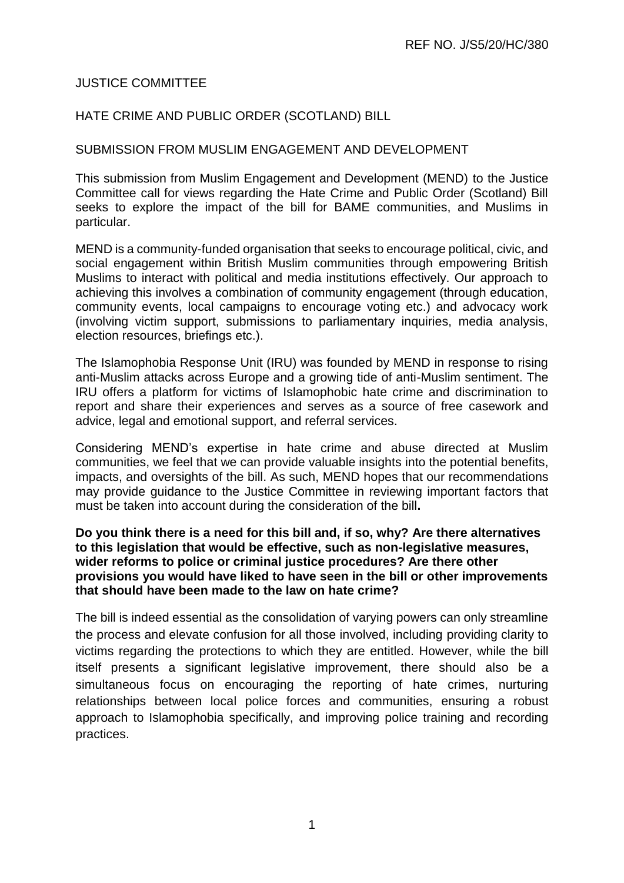## JUSTICE COMMITTEE

## HATE CRIME AND PUBLIC ORDER (SCOTLAND) BILL

#### SUBMISSION FROM MUSLIM ENGAGEMENT AND DEVELOPMENT

This submission from Muslim Engagement and Development (MEND) to the Justice Committee call for views regarding the Hate Crime and Public Order (Scotland) Bill seeks to explore the impact of the bill for BAME communities, and Muslims in particular.

MEND is a community-funded organisation that seeks to encourage political, civic, and social engagement within British Muslim communities through empowering British Muslims to interact with political and media institutions effectively. Our approach to achieving this involves a combination of community engagement (through education, community events, local campaigns to encourage voting etc.) and advocacy work (involving victim support, submissions to parliamentary inquiries, media analysis, election resources, briefings etc.).

The Islamophobia Response Unit (IRU) was founded by MEND in response to rising anti-Muslim attacks across Europe and a growing tide of anti-Muslim sentiment. The IRU offers a platform for victims of Islamophobic hate crime and discrimination to report and share their experiences and serves as a source of free casework and advice, legal and emotional support, and referral services.

Considering MEND's expertise in hate crime and abuse directed at Muslim communities, we feel that we can provide valuable insights into the potential benefits, impacts, and oversights of the bill. As such, MEND hopes that our recommendations may provide guidance to the Justice Committee in reviewing important factors that must be taken into account during the consideration of the bill**.**

#### **Do you think there is a need for this bill and, if so, why? Are there alternatives to this legislation that would be effective, such as non-legislative measures, wider reforms to police or criminal justice procedures? Are there other provisions you would have liked to have seen in the bill or other improvements that should have been made to the law on hate crime?**

The bill is indeed essential as the consolidation of varying powers can only streamline the process and elevate confusion for all those involved, including providing clarity to victims regarding the protections to which they are entitled. However, while the bill itself presents a significant legislative improvement, there should also be a simultaneous focus on encouraging the reporting of hate crimes, nurturing relationships between local police forces and communities, ensuring a robust approach to Islamophobia specifically, and improving police training and recording practices.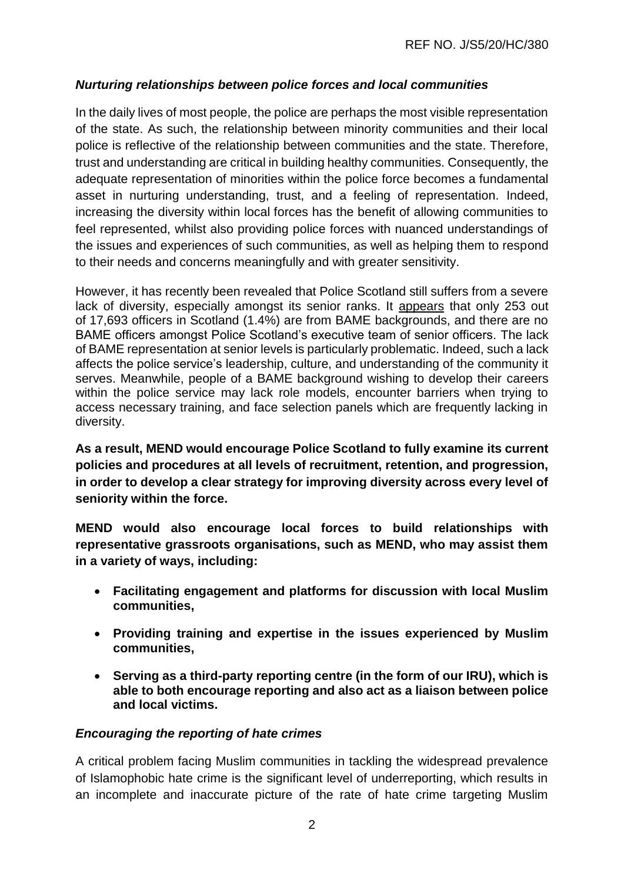# *Nurturing relationships between police forces and local communities*

In the daily lives of most people, the police are perhaps the most visible representation of the state. As such, the relationship between minority communities and their local police is reflective of the relationship between communities and the state. Therefore, trust and understanding are critical in building healthy communities. Consequently, the adequate representation of minorities within the police force becomes a fundamental asset in nurturing understanding, trust, and a feeling of representation. Indeed, increasing the diversity within local forces has the benefit of allowing communities to feel represented, whilst also providing police forces with nuanced understandings of the issues and experiences of such communities, as well as helping them to respond to their needs and concerns meaningfully and with greater sensitivity.

However, it has recently been revealed that Police Scotland still suffers from a severe lack of diversity, especially amongst its senior ranks. It [appears](https://www.dailyrecord.co.uk/news/scottish-news/cops-shamed-over-diversity-only-22226516) that only 253 out of 17,693 officers in Scotland (1.4%) are from BAME backgrounds, and there are no BAME officers amongst Police Scotland's executive team of senior officers. The lack of BAME representation at senior levels is particularly problematic. Indeed, such a lack affects the police service's leadership, culture, and understanding of the community it serves. Meanwhile, people of a BAME background wishing to develop their careers within the police service may lack role models, encounter barriers when trying to access necessary training, and face selection panels which are frequently lacking in diversity.

**As a result, MEND would encourage Police Scotland to fully examine its current policies and procedures at all levels of recruitment, retention, and progression, in order to develop a clear strategy for improving diversity across every level of seniority within the force.**

**MEND would also encourage local forces to build relationships with representative grassroots organisations, such as MEND, who may assist them in a variety of ways, including:**

- **Facilitating engagement and platforms for discussion with local Muslim communities,**
- **Providing training and expertise in the issues experienced by Muslim communities,**
- **Serving as a third-party reporting centre (in the form of our IRU), which is able to both encourage reporting and also act as a liaison between police and local victims.**

## *Encouraging the reporting of hate crimes*

A critical problem facing Muslim communities in tackling the widespread prevalence of Islamophobic hate crime is the significant level of underreporting, which results in an incomplete and inaccurate picture of the rate of hate crime targeting Muslim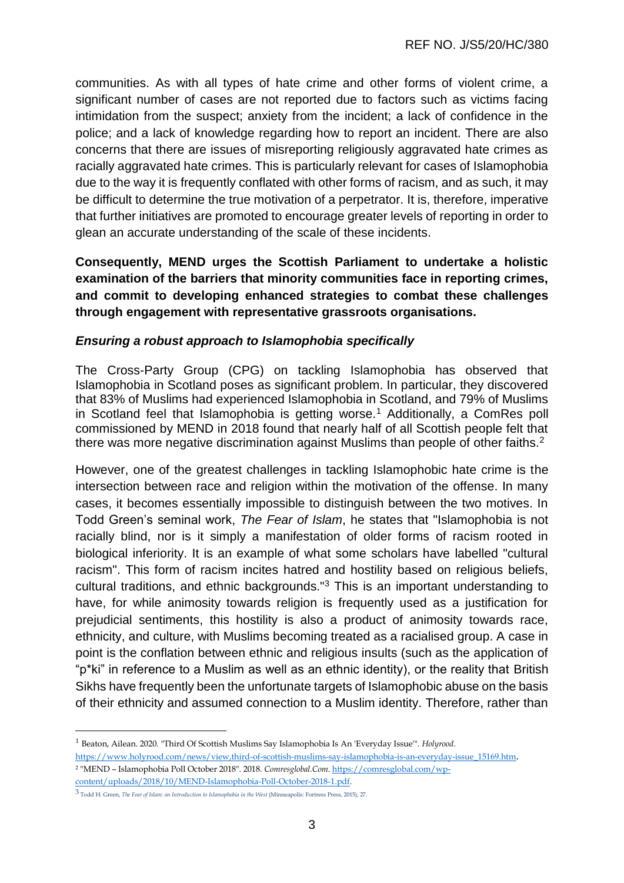communities. As with all types of hate crime and other forms of violent crime, a significant number of cases are not reported due to factors such as victims facing intimidation from the suspect; anxiety from the incident; a lack of confidence in the police; and a lack of knowledge regarding how to report an incident. There are also concerns that there are issues of misreporting religiously aggravated hate crimes as racially aggravated hate crimes. This is particularly relevant for cases of Islamophobia due to the way it is frequently conflated with other forms of racism, and as such, it may be difficult to determine the true motivation of a perpetrator. It is, therefore, imperative that further initiatives are promoted to encourage greater levels of reporting in order to glean an accurate understanding of the scale of these incidents.

**Consequently, MEND urges the Scottish Parliament to undertake a holistic examination of the barriers that minority communities face in reporting crimes, and commit to developing enhanced strategies to combat these challenges through engagement with representative grassroots organisations.**

#### *Ensuring a robust approach to Islamophobia specifically*

The Cross-Party Group (CPG) on tackling Islamophobia has observed that Islamophobia in Scotland poses as significant problem. In particular, they discovered that 83% of Muslims had experienced Islamophobia in Scotland, and 79% of Muslims in Scotland feel that Islamophobia is getting worse.<sup>1</sup> Additionally, a ComRes poll commissioned by MEND in 2018 found that nearly half of all Scottish people felt that there was more negative discrimination against Muslims than people of other faiths.<sup>2</sup>

However, one of the greatest challenges in tackling Islamophobic hate crime is the intersection between race and religion within the motivation of the offense. In many cases, it becomes essentially impossible to distinguish between the two motives. In Todd Green's seminal work, *The Fear of Islam*, he states that "Islamophobia is not racially blind, nor is it simply a manifestation of older forms of racism rooted in biological inferiority. It is an example of what some scholars have labelled "cultural racism". This form of racism incites hatred and hostility based on religious beliefs, cultural traditions, and ethnic backgrounds."<sup>3</sup> This is an important understanding to have, for while animosity towards religion is frequently used as a justification for prejudicial sentiments, this hostility is also a product of animosity towards race, ethnicity, and culture, with Muslims becoming treated as a racialised group. A case in point is the conflation between ethnic and religious insults (such as the application of "p\*ki" in reference to a Muslim as well as an ethnic identity), or the reality that British Sikhs have frequently been the unfortunate targets of Islamophobic abuse on the basis of their ethnicity and assumed connection to a Muslim identity. Therefore, rather than

1

<sup>1</sup> Beaton, Ailean. 2020. "Third Of Scottish Muslims Say Islamophobia Is An 'Everyday Issue'". *Holyrood*. [https://www.holyrood.com/news/view,third-of-scottish-muslims-say-islamophobia-is-an-everyday-issue\\_15169.htm](https://www.holyrood.com/news/view,third-of-scottish-muslims-say-islamophobia-is-an-everyday-issue_15169.htm). <sup>2</sup> "MEND – Islamophobia Poll October 2018". 2018. *Comresglobal.Com*[. https://comresglobal.com/wp](https://comresglobal.com/wp-content/uploads/2018/10/MEND-Islamophobia-Poll-October-2018-1.pdf)[content/uploads/2018/10/MEND-Islamophobia-Poll-October-2018-1.pdf.](https://comresglobal.com/wp-content/uploads/2018/10/MEND-Islamophobia-Poll-October-2018-1.pdf) 

<sup>3</sup> Todd H. Green, *The Fear of Islam: an Introduction to Islamophobia in the West* (Minneapolis: Fortress Press, 2015), 27.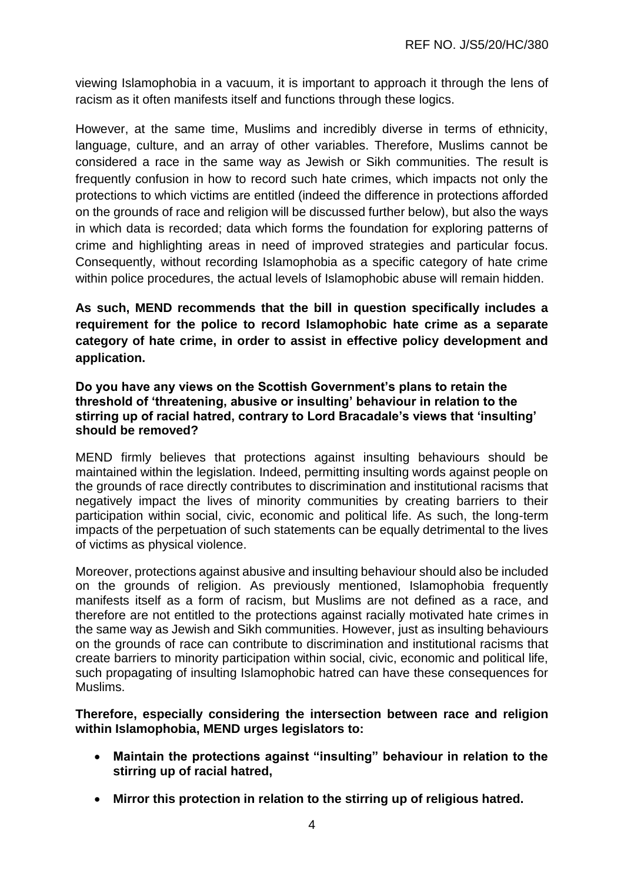viewing Islamophobia in a vacuum, it is important to approach it through the lens of racism as it often manifests itself and functions through these logics.

However, at the same time, Muslims and incredibly diverse in terms of ethnicity, language, culture, and an array of other variables. Therefore, Muslims cannot be considered a race in the same way as Jewish or Sikh communities. The result is frequently confusion in how to record such hate crimes, which impacts not only the protections to which victims are entitled (indeed the difference in protections afforded on the grounds of race and religion will be discussed further below), but also the ways in which data is recorded; data which forms the foundation for exploring patterns of crime and highlighting areas in need of improved strategies and particular focus. Consequently, without recording Islamophobia as a specific category of hate crime within police procedures, the actual levels of Islamophobic abuse will remain hidden.

**As such, MEND recommends that the bill in question specifically includes a requirement for the police to record Islamophobic hate crime as a separate category of hate crime, in order to assist in effective policy development and application.**

**Do you have any views on the Scottish Government's plans to retain the threshold of 'threatening, abusive or insulting' behaviour in relation to the stirring up of racial hatred, contrary to Lord Bracadale's views that 'insulting' should be removed?**

MEND firmly believes that protections against insulting behaviours should be maintained within the legislation. Indeed, permitting insulting words against people on the grounds of race directly contributes to discrimination and institutional racisms that negatively impact the lives of minority communities by creating barriers to their participation within social, civic, economic and political life. As such, the long-term impacts of the perpetuation of such statements can be equally detrimental to the lives of victims as physical violence.

Moreover, protections against abusive and insulting behaviour should also be included on the grounds of religion. As previously mentioned, Islamophobia frequently manifests itself as a form of racism, but Muslims are not defined as a race, and therefore are not entitled to the protections against racially motivated hate crimes in the same way as Jewish and Sikh communities. However, just as insulting behaviours on the grounds of race can contribute to discrimination and institutional racisms that create barriers to minority participation within social, civic, economic and political life, such propagating of insulting Islamophobic hatred can have these consequences for Muslims.

**Therefore, especially considering the intersection between race and religion within Islamophobia, MEND urges legislators to:**

- **Maintain the protections against "insulting" behaviour in relation to the stirring up of racial hatred,**
- **Mirror this protection in relation to the stirring up of religious hatred.**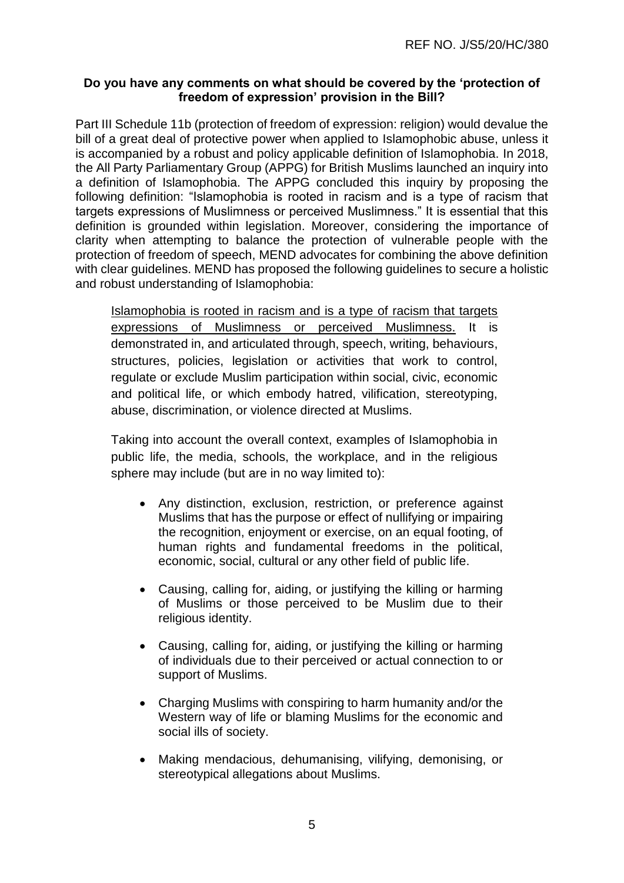## **Do you have any comments on what should be covered by the 'protection of freedom of expression' provision in the Bill?**

Part III Schedule 11b (protection of freedom of expression: religion) would devalue the bill of a great deal of protective power when applied to Islamophobic abuse, unless it is accompanied by a robust and policy applicable definition of Islamophobia. In 2018, the All Party Parliamentary Group (APPG) for British Muslims launched an inquiry into a definition of Islamophobia. The APPG concluded this inquiry by proposing the following definition: "Islamophobia is rooted in racism and is a type of racism that targets expressions of Muslimness or perceived Muslimness." It is essential that this definition is grounded within legislation. Moreover, considering the importance of clarity when attempting to balance the protection of vulnerable people with the protection of freedom of speech, MEND advocates for combining the above definition with clear guidelines. MEND has proposed the following guidelines to secure a holistic and robust understanding of Islamophobia:

Islamophobia is rooted in racism and is a type of racism that targets expressions of Muslimness or perceived Muslimness. It is demonstrated in, and articulated through, speech, writing, behaviours, structures, policies, legislation or activities that work to control, regulate or exclude Muslim participation within social, civic, economic and political life, or which embody hatred, vilification, stereotyping, abuse, discrimination, or violence directed at Muslims.

Taking into account the overall context, examples of Islamophobia in public life, the media, schools, the workplace, and in the religious sphere may include (but are in no way limited to):

- Any distinction, exclusion, restriction, or preference against Muslims that has the purpose or effect of nullifying or impairing the recognition, enjoyment or exercise, on an equal footing, of human rights and fundamental freedoms in the political. economic, social, cultural or any other field of public life.
- Causing, calling for, aiding, or justifying the killing or harming of Muslims or those perceived to be Muslim due to their religious identity.
- Causing, calling for, aiding, or justifying the killing or harming of individuals due to their perceived or actual connection to or support of Muslims.
- Charging Muslims with conspiring to harm humanity and/or the Western way of life or blaming Muslims for the economic and social ills of society.
- Making mendacious, dehumanising, vilifying, demonising, or stereotypical allegations about Muslims.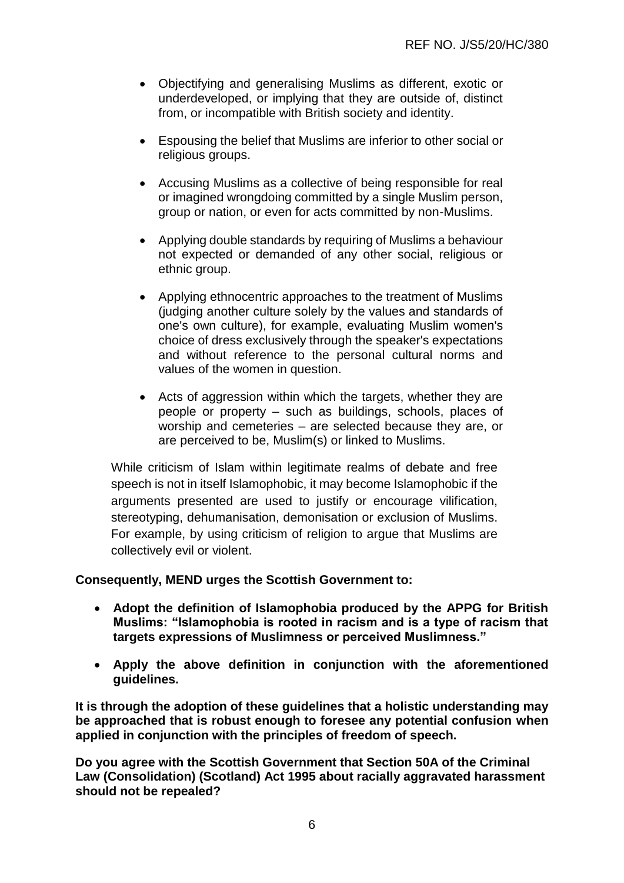- Objectifying and generalising Muslims as different, exotic or underdeveloped, or implying that they are outside of, distinct from, or incompatible with British society and identity.
- Espousing the belief that Muslims are inferior to other social or religious groups.
- Accusing Muslims as a collective of being responsible for real or imagined wrongdoing committed by a single Muslim person, group or nation, or even for acts committed by non-Muslims.
- Applying double standards by requiring of Muslims a behaviour not expected or demanded of any other social, religious or ethnic group.
- Applying ethnocentric approaches to the treatment of Muslims (judging another culture solely by the values and standards of one's own culture), for example, evaluating Muslim women's choice of dress exclusively through the speaker's expectations and without reference to the personal cultural norms and values of the women in question.
- Acts of aggression within which the targets, whether they are people or property – such as buildings, schools, places of worship and cemeteries – are selected because they are, or are perceived to be, Muslim(s) or linked to Muslims.

While criticism of Islam within legitimate realms of debate and free speech is not in itself Islamophobic, it may become Islamophobic if the arguments presented are used to justify or encourage vilification, stereotyping, dehumanisation, demonisation or exclusion of Muslims. For example, by using criticism of religion to argue that Muslims are collectively evil or violent.

#### **Consequently, MEND urges the Scottish Government to:**

- **Adopt the definition of Islamophobia produced by the APPG for British Muslims: "Islamophobia is rooted in racism and is a type of racism that targets expressions of Muslimness or perceived Muslimness."**
- **Apply the above definition in conjunction with the aforementioned guidelines.**

**It is through the adoption of these guidelines that a holistic understanding may be approached that is robust enough to foresee any potential confusion when applied in conjunction with the principles of freedom of speech.**

**Do you agree with the Scottish Government that Section 50A of the Criminal Law (Consolidation) (Scotland) Act 1995 about racially aggravated harassment should not be repealed?**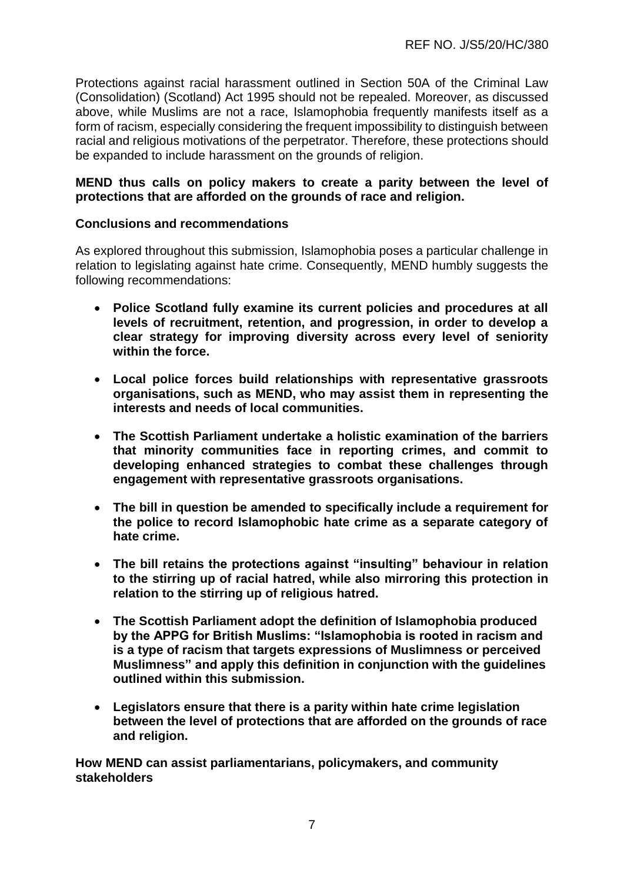Protections against racial harassment outlined in Section 50A of the Criminal Law (Consolidation) (Scotland) Act 1995 should not be repealed. Moreover, as discussed above, while Muslims are not a race, Islamophobia frequently manifests itself as a form of racism, especially considering the frequent impossibility to distinguish between racial and religious motivations of the perpetrator. Therefore, these protections should be expanded to include harassment on the grounds of religion.

## **MEND thus calls on policy makers to create a parity between the level of protections that are afforded on the grounds of race and religion.**

#### **Conclusions and recommendations**

As explored throughout this submission, Islamophobia poses a particular challenge in relation to legislating against hate crime. Consequently, MEND humbly suggests the following recommendations:

- **Police Scotland fully examine its current policies and procedures at all levels of recruitment, retention, and progression, in order to develop a clear strategy for improving diversity across every level of seniority within the force.**
- **Local police forces build relationships with representative grassroots organisations, such as MEND, who may assist them in representing the interests and needs of local communities.**
- **The Scottish Parliament undertake a holistic examination of the barriers that minority communities face in reporting crimes, and commit to developing enhanced strategies to combat these challenges through engagement with representative grassroots organisations.**
- **The bill in question be amended to specifically include a requirement for the police to record Islamophobic hate crime as a separate category of hate crime.**
- **The bill retains the protections against "insulting" behaviour in relation to the stirring up of racial hatred, while also mirroring this protection in relation to the stirring up of religious hatred.**
- **The Scottish Parliament adopt the definition of Islamophobia produced by the APPG for British Muslims: "Islamophobia is rooted in racism and is a type of racism that targets expressions of Muslimness or perceived Muslimness" and apply this definition in conjunction with the guidelines outlined within this submission.**
- **Legislators ensure that there is a parity within hate crime legislation between the level of protections that are afforded on the grounds of race and religion.**

**How MEND can assist parliamentarians, policymakers, and community stakeholders**